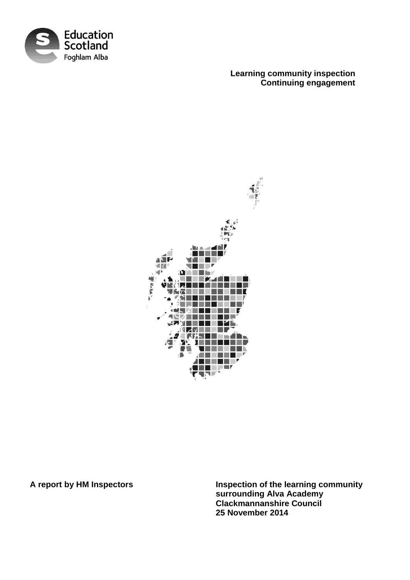

**Learning community inspection Continuing engagement**



**A report by HM Inspectors Inspection of the learning community surrounding Alva Academy Clackmannanshire Council 25 November 2014**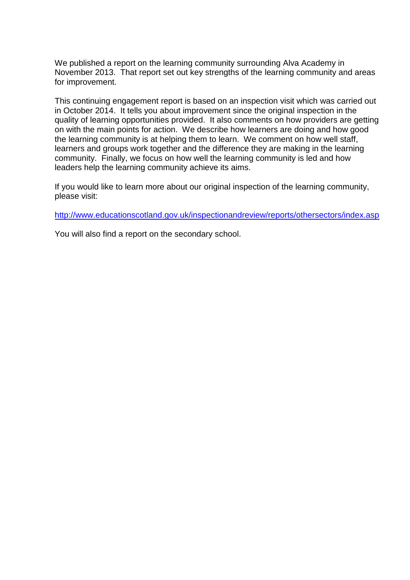We published a report on the learning community surrounding Alva Academy in November 2013. That report set out key strengths of the learning community and areas for improvement.

This continuing engagement report is based on an inspection visit which was carried out in October 2014. It tells you about improvement since the original inspection in the quality of learning opportunities provided. It also comments on how providers are getting on with the main points for action. We describe how learners are doing and how good the learning community is at helping them to learn. We comment on how well staff, learners and groups work together and the difference they are making in the learning community. Finally, we focus on how well the learning community is led and how leaders help the learning community achieve its aims.

If you would like to learn more about our original inspection of the learning community, please visit:

<http://www.educationscotland.gov.uk/inspectionandreview/reports/othersectors/index.asp>

You will also find a report on the secondary school.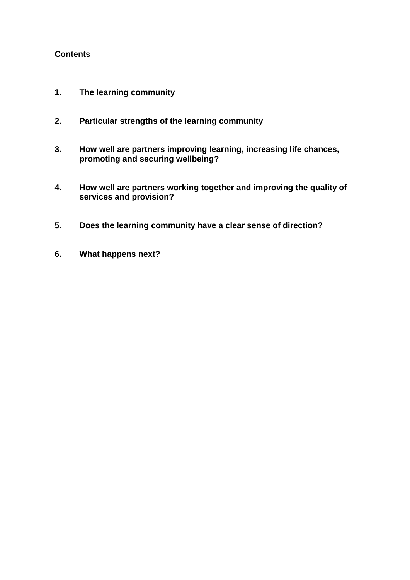## **Contents**

- **1. The learning community**
- **2. Particular strengths of the learning community**
- **3. How well are partners improving learning, increasing life chances, promoting and securing wellbeing?**
- **4. How well are partners working together and improving the quality of services and provision?**
- **5. Does the learning community have a clear sense of direction?**
- **6. What happens next?**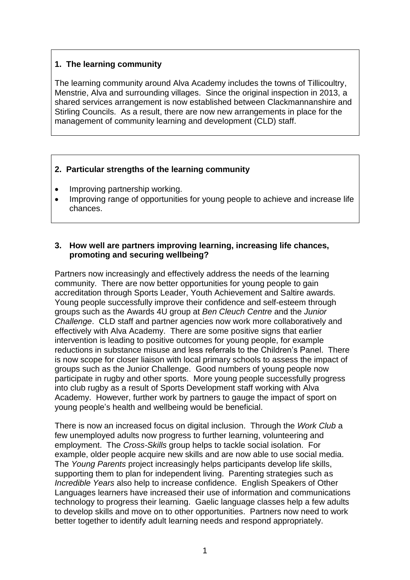## **1. The learning community**

The learning community around Alva Academy includes the towns of Tillicoultry, Menstrie, Alva and surrounding villages. Since the original inspection in 2013, a shared services arrangement is now established between Clackmannanshire and Stirling Councils. As a result, there are now new arrangements in place for the management of community learning and development (CLD) staff.

## **2. Particular strengths of the learning community**

- Improving partnership working.
- Improving range of opportunities for young people to achieve and increase life chances.

### **3. How well are partners improving learning, increasing life chances, promoting and securing wellbeing?**

Partners now increasingly and effectively address the needs of the learning community. There are now better opportunities for young people to gain accreditation through Sports Leader, Youth Achievement and Saltire awards. Young people successfully improve their confidence and self-esteem through groups such as the Awards 4U group at *Ben Cleuch Centre* and the *Junior Challenge*. CLD staff and partner agencies now work more collaboratively and effectively with Alva Academy. There are some positive signs that earlier intervention is leading to positive outcomes for young people, for example reductions in substance misuse and less referrals to the Children's Panel. There is now scope for closer liaison with local primary schools to assess the impact of groups such as the Junior Challenge. Good numbers of young people now participate in rugby and other sports. More young people successfully progress into club rugby as a result of Sports Development staff working with Alva Academy. However, further work by partners to gauge the impact of sport on young people's health and wellbeing would be beneficial.

There is now an increased focus on digital inclusion. Through the *Work Club* a few unemployed adults now progress to further learning, volunteering and employment. The *Cross-Skills* group helps to tackle social isolation. For example, older people acquire new skills and are now able to use social media. The *Young Parents* project increasingly helps participants develop life skills, supporting them to plan for independent living. Parenting strategies such as *Incredible Years* also help to increase confidence. English Speakers of Other Languages learners have increased their use of information and communications technology to progress their learning. Gaelic language classes help a few adults to develop skills and move on to other opportunities. Partners now need to work better together to identify adult learning needs and respond appropriately.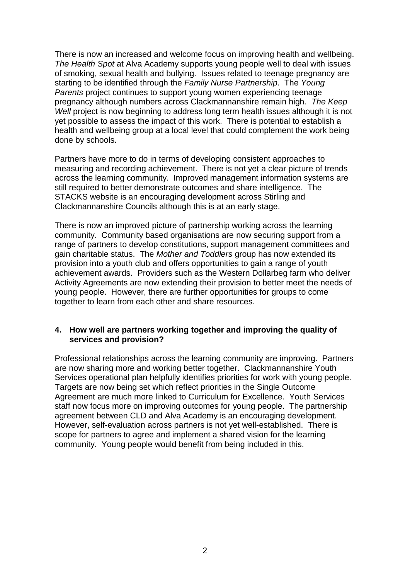There is now an increased and welcome focus on improving health and wellbeing. *The Health Spot* at Alva Academy supports young people well to deal with issues of smoking, sexual health and bullying. Issues related to teenage pregnancy are starting to be identified through the *Family Nurse Partnership*. The *Young Parents* project continues to support young women experiencing teenage pregnancy although numbers across Clackmannanshire remain high. *The Keep Well* project is now beginning to address long term health issues although it is not yet possible to assess the impact of this work. There is potential to establish a health and wellbeing group at a local level that could complement the work being done by schools.

Partners have more to do in terms of developing consistent approaches to measuring and recording achievement. There is not yet a clear picture of trends across the learning community. Improved management information systems are still required to better demonstrate outcomes and share intelligence. The STACKS website is an encouraging development across Stirling and Clackmannanshire Councils although this is at an early stage.

There is now an improved picture of partnership working across the learning community. Community based organisations are now securing support from a range of partners to develop constitutions, support management committees and gain charitable status. The *Mother and Toddlers* group has now extended its provision into a youth club and offers opportunities to gain a range of youth achievement awards. Providers such as the Western Dollarbeg farm who deliver Activity Agreements are now extending their provision to better meet the needs of young people. However, there are further opportunities for groups to come together to learn from each other and share resources.

#### **4. How well are partners working together and improving the quality of services and provision?**

Professional relationships across the learning community are improving. Partners are now sharing more and working better together. Clackmannanshire Youth Services operational plan helpfully identifies priorities for work with young people. Targets are now being set which reflect priorities in the Single Outcome Agreement are much more linked to Curriculum for Excellence. Youth Services staff now focus more on improving outcomes for young people. The partnership agreement between CLD and Alva Academy is an encouraging development. However, self-evaluation across partners is not yet well-established. There is scope for partners to agree and implement a shared vision for the learning community. Young people would benefit from being included in this.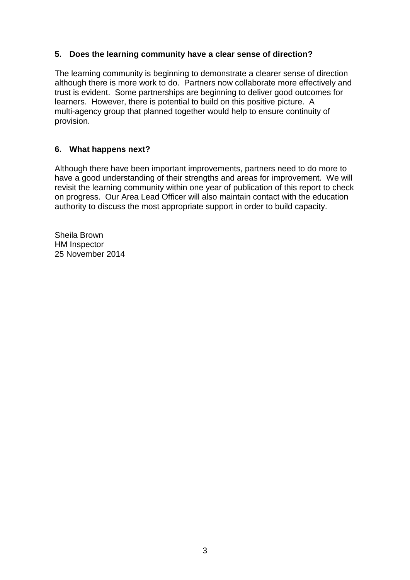# **5. Does the learning community have a clear sense of direction?**

The learning community is beginning to demonstrate a clearer sense of direction although there is more work to do. Partners now collaborate more effectively and trust is evident. Some partnerships are beginning to deliver good outcomes for learners. However, there is potential to build on this positive picture. A multi-agency group that planned together would help to ensure continuity of provision.

## **6. What happens next?**

Although there have been important improvements, partners need to do more to have a good understanding of their strengths and areas for improvement. We will revisit the learning community within one year of publication of this report to check on progress. Our Area Lead Officer will also maintain contact with the education authority to discuss the most appropriate support in order to build capacity.

Sheila Brown HM Inspector 25 November 2014